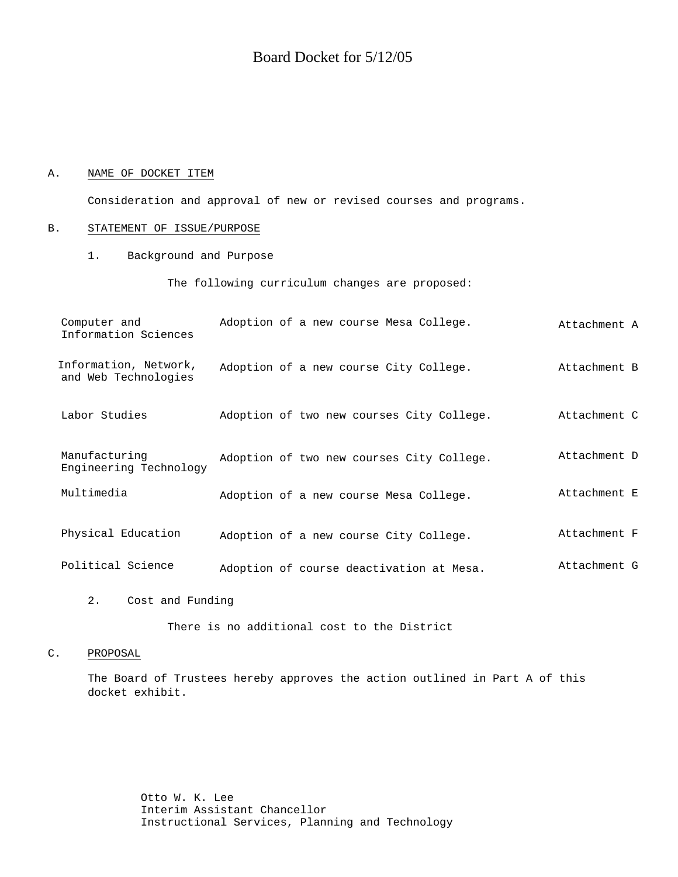# Board Docket for 5/12/05

### A. NAME OF DOCKET ITEM

Consideration and approval of new or revised courses and programs.

### B. STATEMENT OF ISSUE/PURPOSE

1. Background and Purpose

The following curriculum changes are proposed:

| Computer and<br>Information Sciences          | Adoption of a new course Mesa College.    | Attachment A |
|-----------------------------------------------|-------------------------------------------|--------------|
| Information, Network,<br>and Web Technologies | Adoption of a new course City College.    | Attachment B |
| Labor Studies                                 | Adoption of two new courses City College. | Attachment C |
| Manufacturing<br>Engineering Technology       | Adoption of two new courses City College. | Attachment D |
| Multimedia                                    | Adoption of a new course Mesa College.    | Attachment E |
| Physical Education                            | Adoption of a new course City College.    | Attachment F |
| Political Science                             | Adoption of course deactivation at Mesa.  | Attachment G |

2. Cost and Funding

There is no additional cost to the District

### C. PROPOSAL

The Board of Trustees hereby approves the action outlined in Part A of this docket exhibit.

> Otto W. K. Lee Interim Assistant Chancellor Instructional Services, Planning and Technology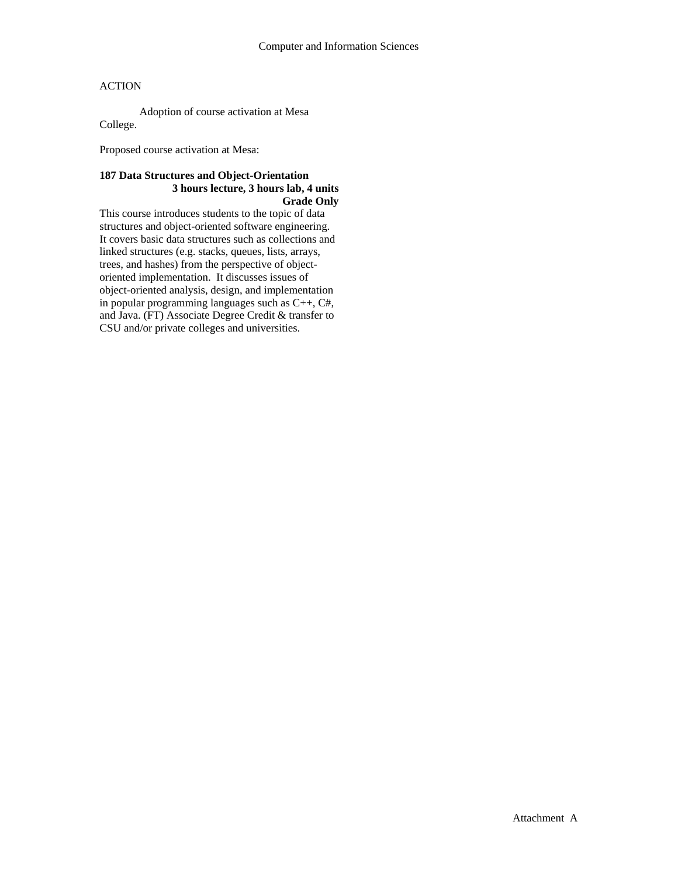Adoption of course activation at Mesa College.

Proposed course activation at Mesa:

## **187 Data Structures and Object-Orientation 3 hours lecture, 3 hours lab, 4 units Grade Only**

This course introduces students to the topic of data structures and object-oriented software engineering. It covers basic data structures such as collections and linked structures (e.g. stacks, queues, lists, arrays, trees, and hashes) from the perspective of objectoriented implementation. It discusses issues of object-oriented analysis, design, and implementation in popular programming languages such as C++, C#, and Java. (FT) Associate Degree Credit & transfer to CSU and/or private colleges and universities.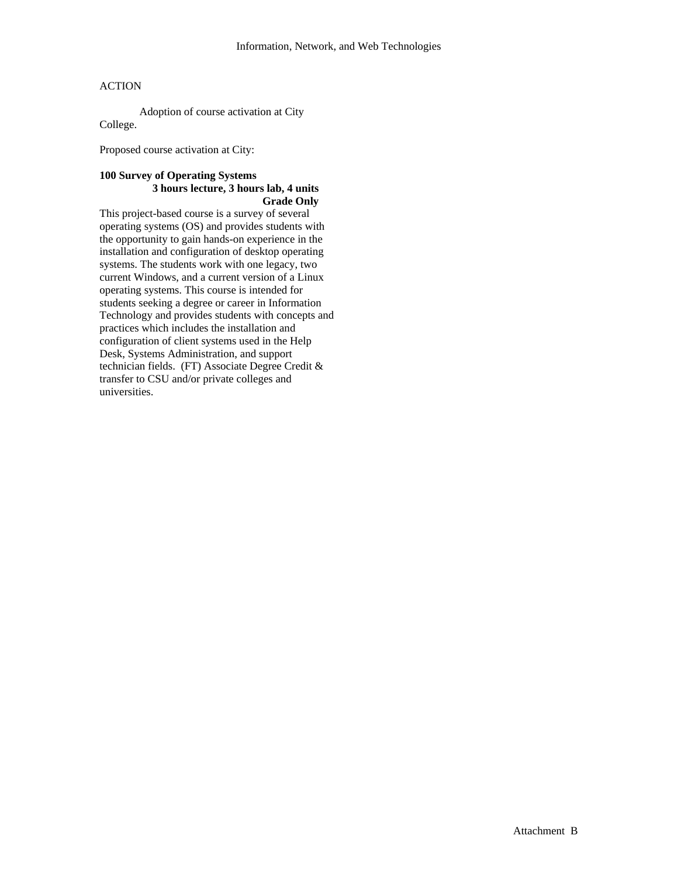Adoption of course activation at City College.

Proposed course activation at City:

#### **100 Survey of Operating Systems 3 hours lecture, 3 hours lab, 4 units Grade Only**

This project-based course is a survey of several operating systems (OS) and provides students with the opportunity to gain hands-on experience in the installation and configuration of desktop operating systems. The students work with one legacy, two current Windows, and a current version of a Linux operating systems. This course is intended for students seeking a degree or career in Information Technology and provides students with concepts and practices which includes the installation and configuration of client systems used in the Help Desk, Systems Administration, and support technician fields. (FT) Associate Degree Credit & transfer to CSU and/or private colleges and universities.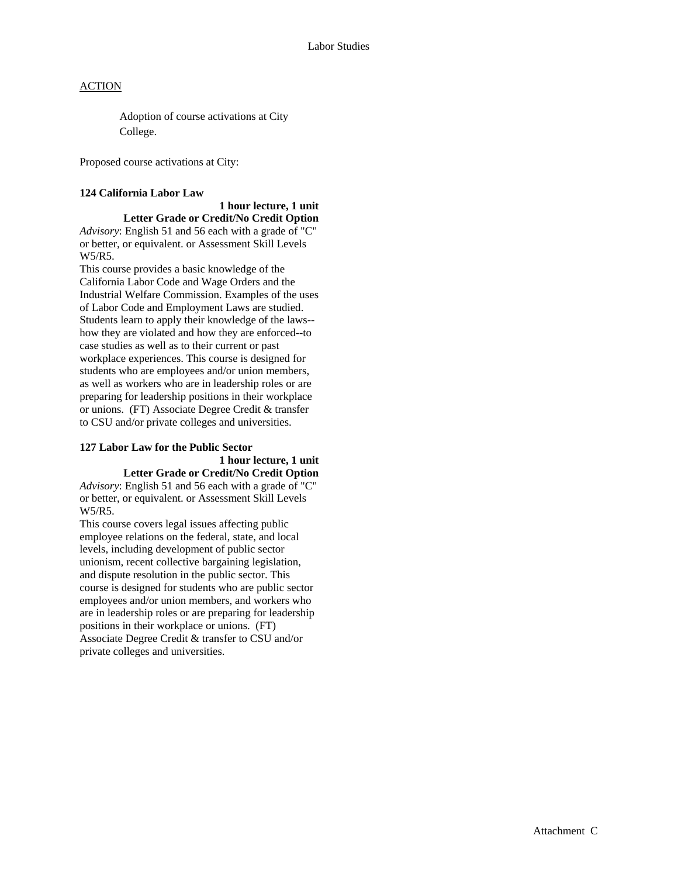Adoption of course activations at City College.

Proposed course activations at City:

## **124 California Labor Law**

 **1 hour lecture, 1 unit Letter Grade or Credit/No Credit Option**  *Advisory*: English 51 and 56 each with a grade of "C" or better, or equivalent. or Assessment Skill Levels W5/R5.

This course provides a basic knowledge of the California Labor Code and Wage Orders and the Industrial Welfare Commission. Examples of the uses of Labor Code and Employment Laws are studied. Students learn to apply their knowledge of the laws- how they are violated and how they are enforced--to case studies as well as to their current or past workplace experiences. This course is designed for students who are employees and/or union members, as well as workers who are in leadership roles or are preparing for leadership positions in their workplace or unions. (FT) Associate Degree Credit & transfer to CSU and/or private colleges and universities.

# **127 Labor Law for the Public Sector**

#### **1 hour lecture, 1 unit Letter Grade or Credit/No Credit Option**

*Advisory*: English 51 and 56 each with a grade of "C" or better, or equivalent. or Assessment Skill Levels W5/R5.

This course covers legal issues affecting public employee relations on the federal, state, and local levels, including development of public sector unionism, recent collective bargaining legislation, and dispute resolution in the public sector. This course is designed for students who are public sector employees and/or union members, and workers who are in leadership roles or are preparing for leadership positions in their workplace or unions. (FT) Associate Degree Credit & transfer to CSU and/or private colleges and universities.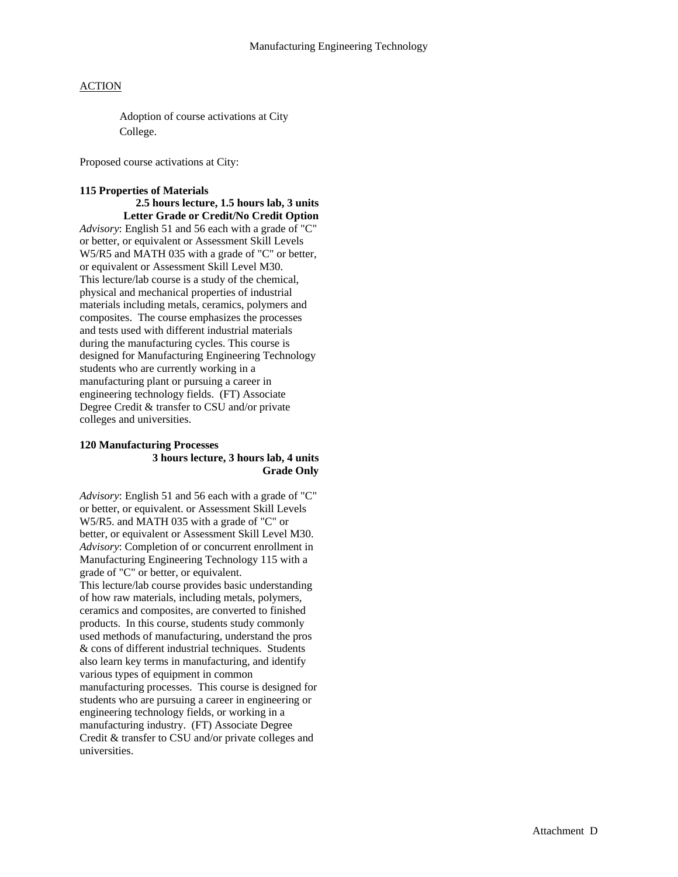Adoption of course activations at City College.

Proposed course activations at City:

# **115 Properties of Materials**

**2.5 hours lecture, 1.5 hours lab, 3 units Letter Grade or Credit/No Credit Option**  *Advisory*: English 51 and 56 each with a grade of "C" or better, or equivalent or Assessment Skill Levels W5/R5 and MATH 035 with a grade of "C" or better, or equivalent or Assessment Skill Level M30. This lecture/lab course is a study of the chemical, physical and mechanical properties of industrial materials including metals, ceramics, polymers and composites. The course emphasizes the processes and tests used with different industrial materials during the manufacturing cycles. This course is designed for Manufacturing Engineering Technology students who are currently working in a manufacturing plant or pursuing a career in engineering technology fields. (FT) Associate Degree Credit & transfer to CSU and/or private colleges and universities.

#### **120 Manufacturing Processes 3 hours lecture, 3 hours lab, 4 units Grade Only**

*Advisory*: English 51 and 56 each with a grade of "C" or better, or equivalent. or Assessment Skill Levels W5/R5. and MATH 035 with a grade of "C" or better, or equivalent or Assessment Skill Level M30. *Advisory*: Completion of or concurrent enrollment in Manufacturing Engineering Technology 115 with a grade of "C" or better, or equivalent. This lecture/lab course provides basic understanding of how raw materials, including metals, polymers, ceramics and composites, are converted to finished products. In this course, students study commonly used methods of manufacturing, understand the pros & cons of different industrial techniques. Students also learn key terms in manufacturing, and identify various types of equipment in common manufacturing processes. This course is designed for students who are pursuing a career in engineering or engineering technology fields, or working in a manufacturing industry. (FT) Associate Degree Credit & transfer to CSU and/or private colleges and universities.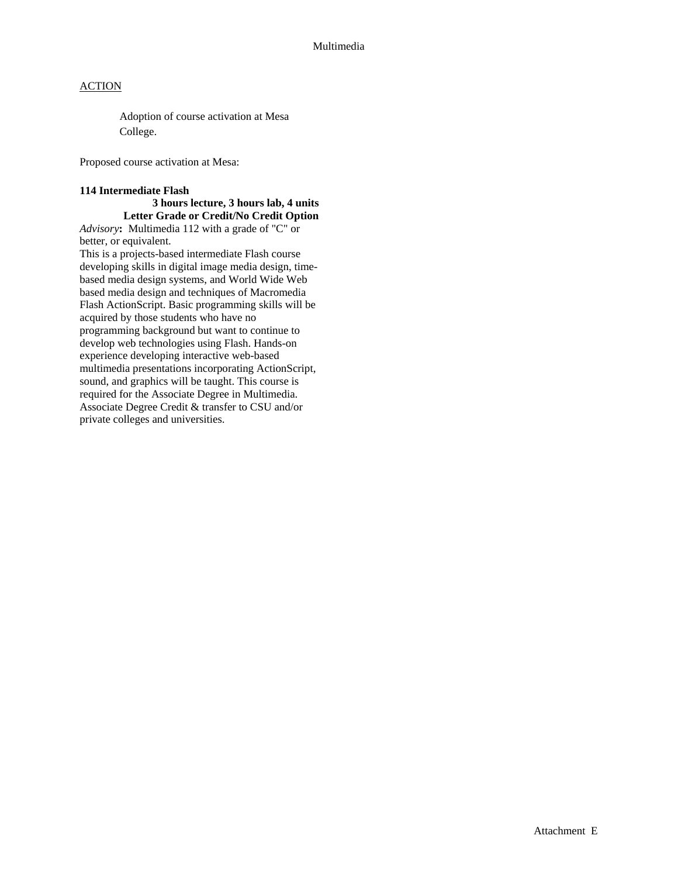Adoption of course activation at Mesa College.

Proposed course activation at Mesa:

### **114 Intermediate Flash**

# **3 hours lecture, 3 hours lab, 4 units Letter Grade or Credit/No Credit Option**

*Advisory***:** Multimedia 112 with a grade of "C" or better, or equivalent.

This is a projects-based intermediate Flash course developing skills in digital image media design, timebased media design systems, and World Wide Web based media design and techniques of Macromedia Flash ActionScript. Basic programming skills will be acquired by those students who have no programming background but want to continue to develop web technologies using Flash. Hands-on experience developing interactive web-based multimedia presentations incorporating ActionScript, sound, and graphics will be taught. This course is required for the Associate Degree in Multimedia. Associate Degree Credit & transfer to CSU and/or private colleges and universities.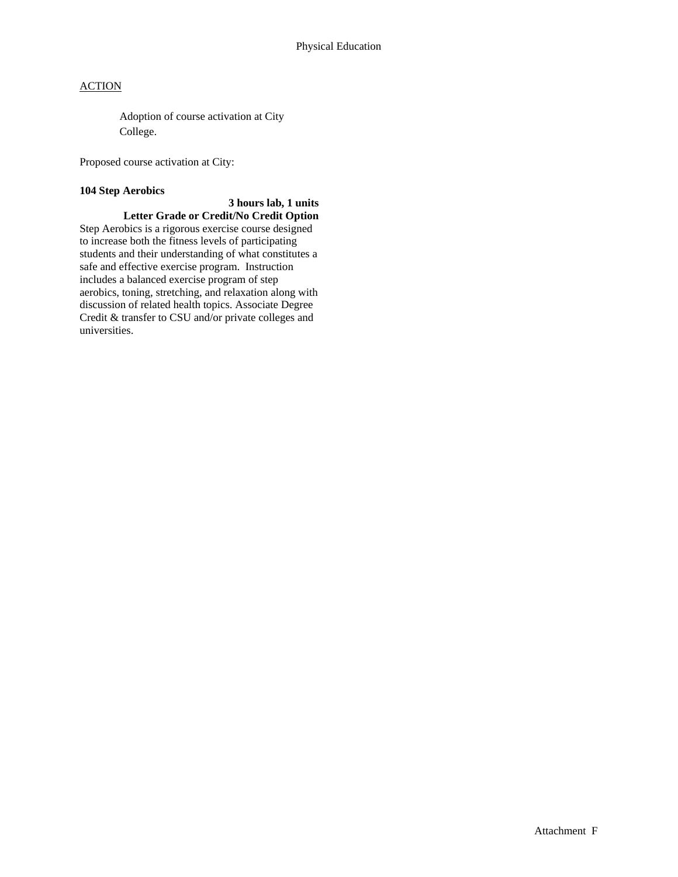Adoption of course activation at City College.

Proposed course activation at City:

### **104 Step Aerobics**

# **3 hours lab, 1 units**

**Letter Grade or Credit/No Credit Option**  Step Aerobics is a rigorous exercise course designed to increase both the fitness levels of participating students and their understanding of what constitutes a safe and effective exercise program. Instruction includes a balanced exercise program of step aerobics, toning, stretching, and relaxation along with discussion of related health topics. Associate Degree Credit & transfer to CSU and/or private colleges and universities.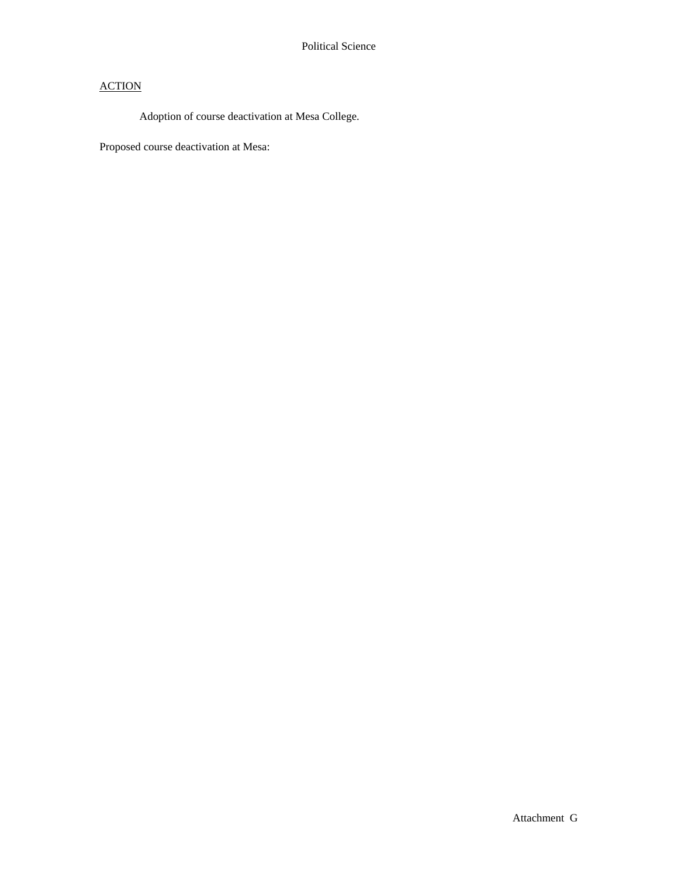Adoption of course deactivation at Mesa College.

Proposed course deactivation at Mesa: